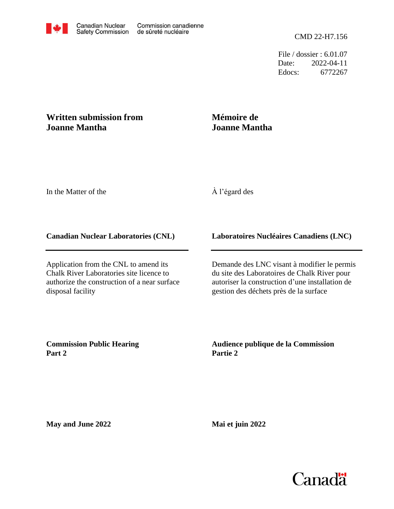File / dossier : 6.01.07 Date: 2022-04-11 Edocs: 6772267

# **Written submission from Joanne Mantha**

## **Mémoire de Joanne Mantha**

In the Matter of the

## À l'égard des

#### **Canadian Nuclear Laboratories (CNL)**

Application from the CNL to amend its Chalk River Laboratories site licence to authorize the construction of a near surface disposal facility

### **Laboratoires Nucléaires Canadiens (LNC)**

Demande des LNC visant à modifier le permis du site des Laboratoires de Chalk River pour autoriser la construction d'une installation de gestion des déchets près de la surface

**Commission Public Hearing Part 2**

**Audience publique de la Commission Partie 2**

**May and June 2022**

**Mai et juin 2022**